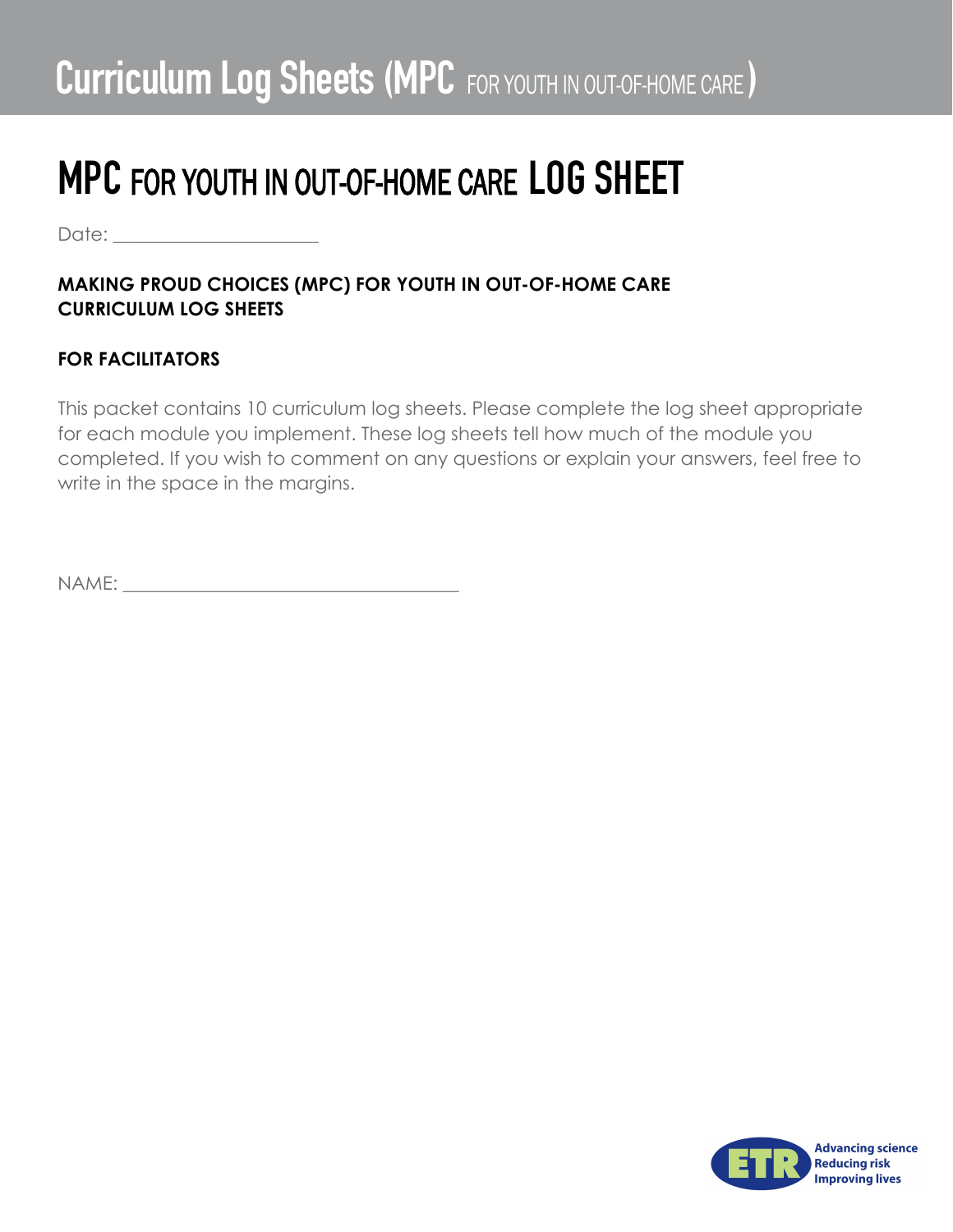Date:  $\Box$ 

#### **MAKING PROUD CHOICES (MPC) FOR YOUTH IN OUT-OF-HOME CARE CURRICULUM LOG SHEETS**

#### **FOR FACILITATORS**

This packet contains 10 curriculum log sheets. Please complete the log sheet appropriate for each module you implement. These log sheets tell how much of the module you completed. If you wish to comment on any questions or explain your answers, feel free to write in the space in the margins.

NAME: \_\_\_\_\_\_\_\_\_\_\_\_\_\_\_\_\_\_\_\_\_\_\_\_\_\_\_\_\_\_\_\_\_\_\_\_

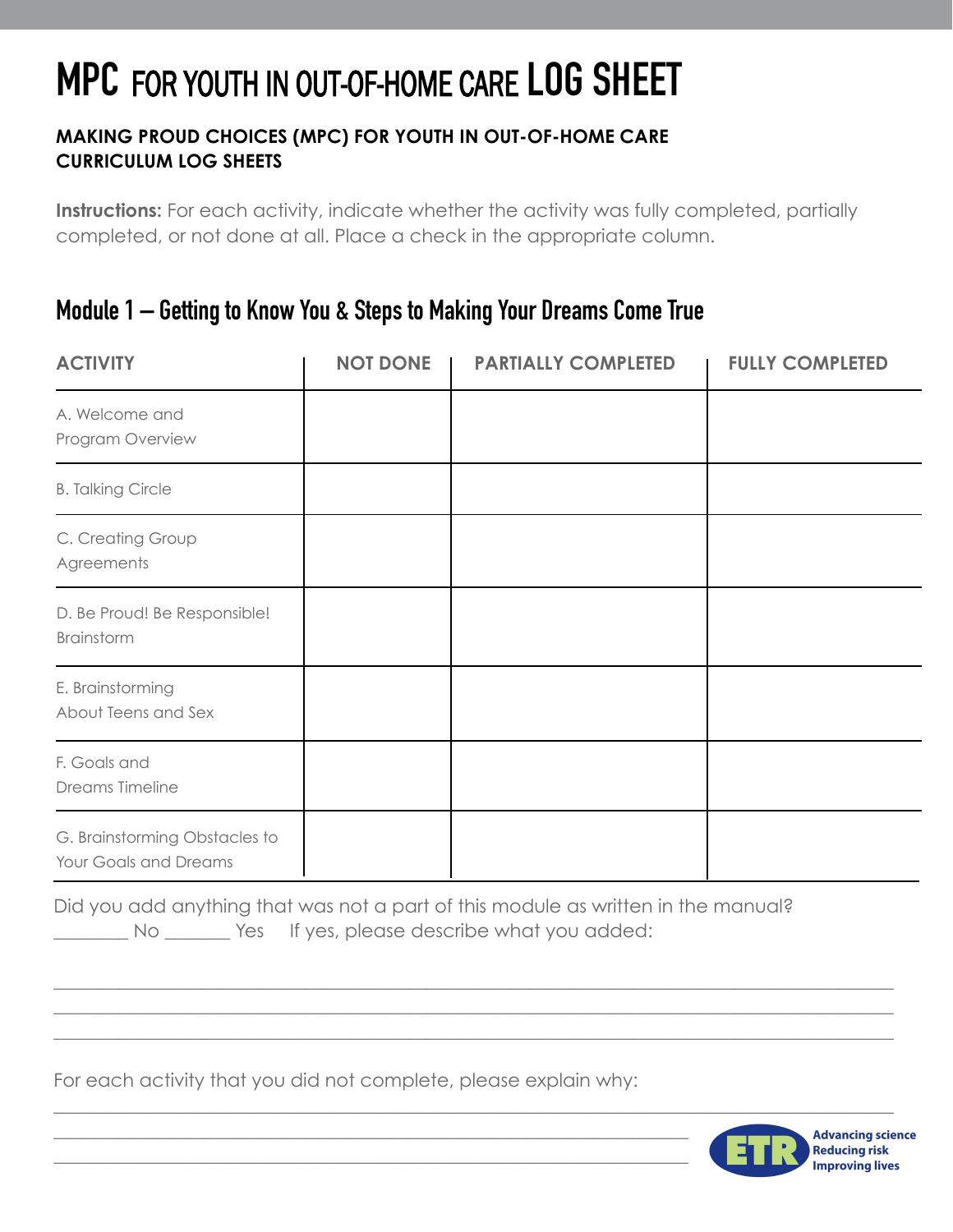### **MAKING PROUD CHOICES (MPC) FOR YOUTH IN OUT-OF-HOME CARE CURRICULUM LOG SHEETS**

**Instructions:** For each activity, indicate whether the activity was fully completed, partially completed, or not done at all. Place a check in the appropriate column.

### Module 1 - Setting the Stage and Making Your Dreams Come True

| <b>ACTIVITY</b>                                        | <b>NOT DONE</b> | <b>PARTIALLY COMPLETED</b> | <b>FULLY COMPLETED</b> |
|--------------------------------------------------------|-----------------|----------------------------|------------------------|
| A. Welcome and<br>Program Overview                     |                 |                            |                        |
| <b>B. Creating a Group Contract</b>                    |                 |                            |                        |
| C. Talking Circle                                      |                 |                            |                        |
| D. Making Proud Choices!<br>Brainstorm                 |                 |                            |                        |
| E. Brainstorming<br>About Teens and Sex                |                 |                            |                        |
| F. Goals and<br>Dreams Timeline                        |                 |                            |                        |
| G. Brainstorming Obstacles to<br>Your Goals and Dreams |                 |                            |                        |

Did you add anything that was not a part of this module as written in the manual? No Western Stephense describe what you added:

\_\_\_\_\_\_\_\_\_\_\_\_\_\_\_\_\_\_\_\_\_\_\_\_\_\_\_\_\_\_\_\_\_\_\_\_\_\_\_\_\_\_\_\_\_\_\_\_\_\_\_\_\_\_\_\_\_\_\_\_\_\_\_\_\_\_\_\_\_\_\_\_\_\_\_\_\_\_\_\_\_\_\_\_\_\_\_\_\_\_ \_\_\_\_\_\_\_\_\_\_\_\_\_\_\_\_\_\_\_\_\_\_\_\_\_\_\_\_\_\_\_\_\_\_\_\_\_\_\_\_\_\_\_\_\_\_\_\_\_\_\_\_\_\_\_\_\_\_\_\_\_\_\_\_\_\_\_\_\_\_\_\_\_\_\_\_\_\_\_\_\_\_\_\_\_\_\_\_\_\_ \_\_\_\_\_\_\_\_\_\_\_\_\_\_\_\_\_\_\_\_\_\_\_\_\_\_\_\_\_\_\_\_\_\_\_\_\_\_\_\_\_\_\_\_\_\_\_\_\_\_\_\_\_\_\_\_\_\_\_\_\_\_\_\_\_\_\_\_\_\_\_\_\_\_\_\_\_\_\_\_\_\_\_\_\_\_\_\_\_\_

\_\_\_\_\_\_\_\_\_\_\_\_\_\_\_\_\_\_\_\_\_\_\_\_\_\_\_\_\_\_\_\_\_\_\_\_\_\_\_\_\_\_\_\_\_\_\_\_\_\_\_\_\_\_\_\_\_\_\_\_\_\_\_\_\_\_\_\_\_\_\_\_\_\_\_\_\_\_\_\_\_\_\_\_\_\_\_\_\_\_

For each activity that you did not complete, please explain why:

\_\_\_\_\_\_\_\_\_\_\_\_\_\_\_\_\_\_\_\_\_\_\_\_\_\_\_\_\_\_\_\_\_\_\_\_\_\_\_\_\_\_\_\_\_\_\_\_\_\_\_\_\_\_\_\_\_\_\_\_\_\_\_\_\_\_\_\_ \_\_\_\_\_\_\_\_\_\_\_\_\_\_\_\_\_\_\_\_\_\_\_\_\_\_\_\_\_\_\_\_\_\_\_\_\_\_\_\_\_\_\_\_\_\_\_\_\_\_\_\_\_\_\_\_\_\_\_\_\_\_\_\_\_\_\_\_

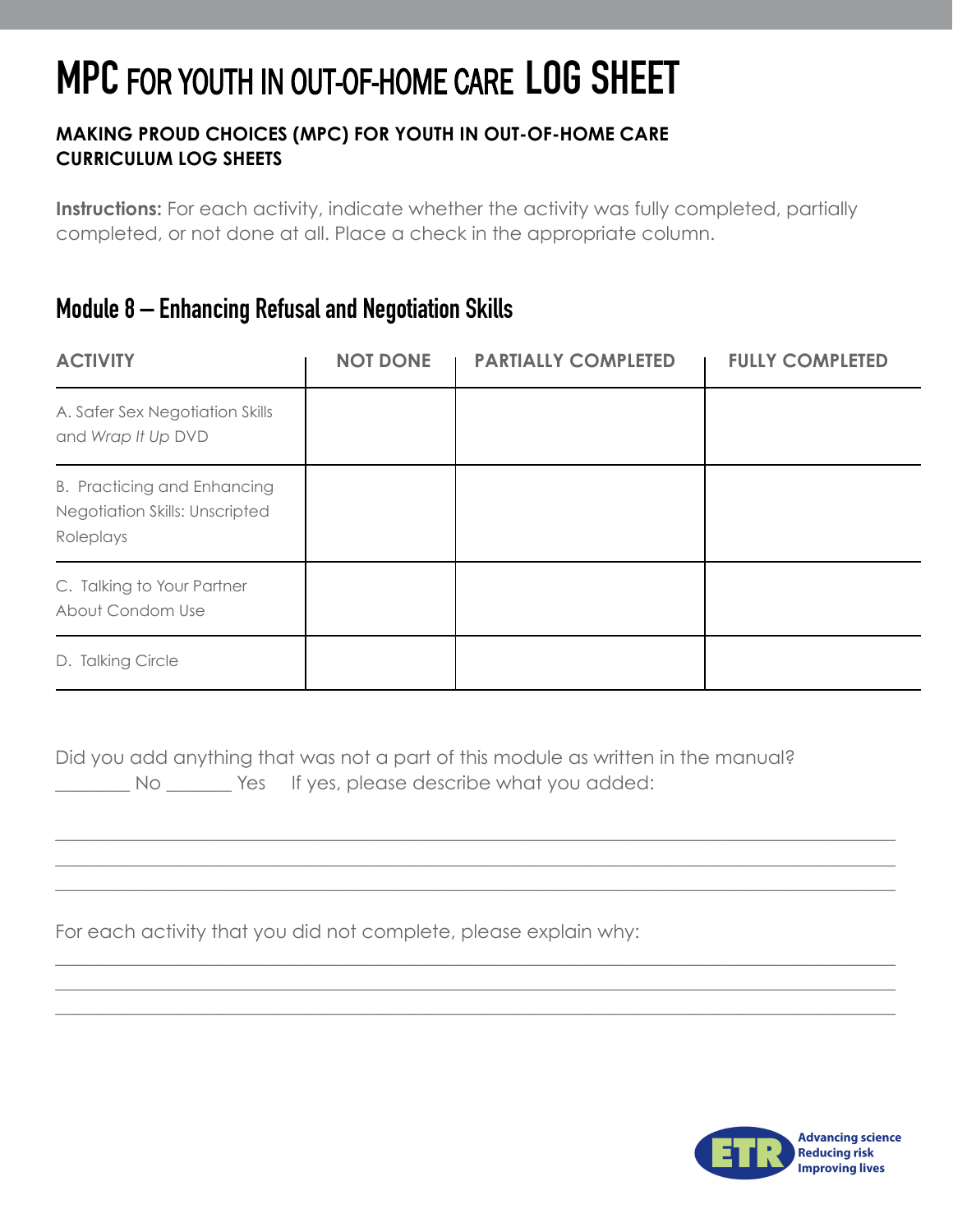#### **MAKING PROUD CHOICES (MPC) FOR YOUTH IN OUT-OF-HOME CARE CURRICULUM LOG SHEETS**

**Instructions:** For each activity, indicate whether the activity was fully completed, partially completed, or not done at all. Place a check in the appropriate column.

### Module 7 – Developing Condom Use and Negotiation Skills

| <b>ACTIVITY</b>                                               | <b>NOT DONE</b> | <b>PARTIALLY COMPLETED</b> | <b>FULLY COMPLETED</b> |
|---------------------------------------------------------------|-----------------|----------------------------|------------------------|
| A. Condom Line-Up                                             |                 |                            |                        |
| <b>B.</b> How to Make Condoms<br>Fun and Pleasurable          |                 |                            |                        |
| C. Barriers to Condom Use/<br>Condom Pros and Cons            |                 |                            |                        |
| D. "What to Say if My Partner<br>Says": Responding to Excuses |                 |                            |                        |
| E. Introduction to SWAT and<br><b>Scripted Roleplays</b>      |                 |                            |                        |

Did you add anything that was not a part of this module as written in the manual? No Wes If yes, please describe what you added:

\_\_\_\_\_\_\_\_\_\_\_\_\_\_\_\_\_\_\_\_\_\_\_\_\_\_\_\_\_\_\_\_\_\_\_\_\_\_\_\_\_\_\_\_\_\_\_\_\_\_\_\_\_\_\_\_\_\_\_\_\_\_\_\_\_\_\_\_\_\_\_\_\_\_\_\_\_\_\_\_\_\_\_\_\_\_\_\_\_\_ \_\_\_\_\_\_\_\_\_\_\_\_\_\_\_\_\_\_\_\_\_\_\_\_\_\_\_\_\_\_\_\_\_\_\_\_\_\_\_\_\_\_\_\_\_\_\_\_\_\_\_\_\_\_\_\_\_\_\_\_\_\_\_\_\_\_\_\_\_\_\_\_\_\_\_\_\_\_\_\_\_\_\_\_\_\_\_\_\_\_ \_\_\_\_\_\_\_\_\_\_\_\_\_\_\_\_\_\_\_\_\_\_\_\_\_\_\_\_\_\_\_\_\_\_\_\_\_\_\_\_\_\_\_\_\_\_\_\_\_\_\_\_\_\_\_\_\_\_\_\_\_\_\_\_\_\_\_\_\_\_\_\_\_\_\_\_\_\_\_\_\_\_\_\_\_\_\_\_\_\_

\_\_\_\_\_\_\_\_\_\_\_\_\_\_\_\_\_\_\_\_\_\_\_\_\_\_\_\_\_\_\_\_\_\_\_\_\_\_\_\_\_\_\_\_\_\_\_\_\_\_\_\_\_\_\_\_\_\_\_\_\_\_\_\_\_\_\_\_\_\_\_\_\_\_\_\_\_\_\_\_\_\_\_\_\_\_\_\_\_\_ \_\_\_\_\_\_\_\_\_\_\_\_\_\_\_\_\_\_\_\_\_\_\_\_\_\_\_\_\_\_\_\_\_\_\_\_\_\_\_\_\_\_\_\_\_\_\_\_\_\_\_\_\_\_\_\_\_\_\_\_\_\_\_\_\_\_\_\_\_\_\_\_\_\_\_\_\_\_\_\_\_\_\_\_\_\_\_\_\_\_ \_\_\_\_\_\_\_\_\_\_\_\_\_\_\_\_\_\_\_\_\_\_\_\_\_\_\_\_\_\_\_\_\_\_\_\_\_\_\_\_\_\_\_\_\_\_\_\_\_\_\_\_\_\_\_\_\_\_\_\_\_\_\_\_\_\_\_\_\_\_\_\_\_\_\_\_\_\_\_\_\_\_\_\_\_\_\_\_\_\_

For each activity that you did not complete, please explain why: